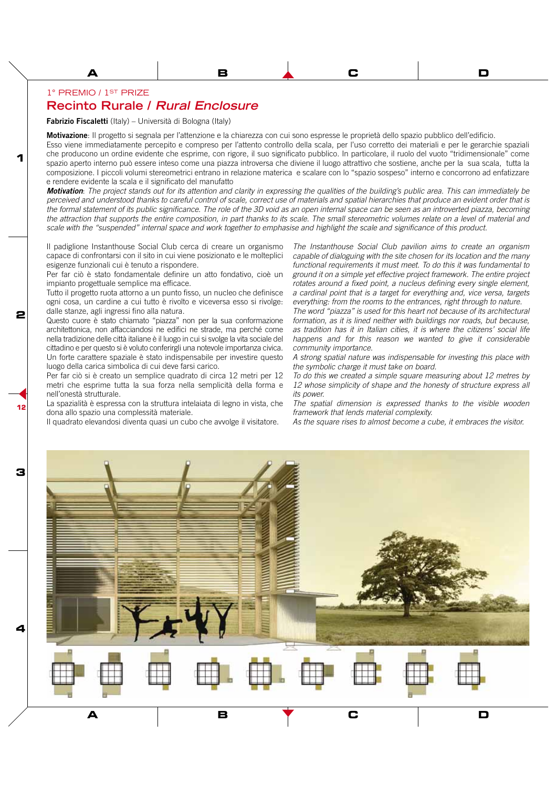## 1° PREMIO / 1ST PRIZE

**1**

**2**

**12**

## **Recinto Rurale / Rural Enclosure**

**Fabrizio Fiscaletti** (Italy) – Università di Bologna (Italy)

**Motivazione**: Il progetto si segnala per l'attenzione e la chiarezza con cui sono espresse le proprietà dello spazio pubblico dell'edificio.

Esso viene immediatamente percepito e compreso per l'attento controllo della scala, per l'uso corretto dei materiali e per le gerarchie spaziali che producono un ordine evidente che esprime, con rigore, il suo significato pubblico. In particolare, il ruolo del vuoto "tridimensionale" come spazio aperto interno può essere inteso come una piazza introversa che diviene il luogo attrattivo che sostiene, anche per la sua scala, tutta la composizione. I piccoli volumi stereometrici entrano in relazione materica e scalare con lo "spazio sospeso" interno e concorrono ad enfatizzare e rendere evidente la scala e il significato del manufatto

**Motivation**: The project stands out for its attention and clarity in expressing the qualities of the building's public area. This can immediately be perceived and understood thanks to careful control of scale, correct use of materials and spatial hierarchies that produce an evident order that is the formal statement of its public significance. The role of the 3D void as an open internal space can be seen as an introverted piazza, becoming the attraction that supports the entire composition, in part thanks to its scale. The small stereometric volumes relate on a level of material and scale with the "suspended" internal space and work together to emphasise and highlight the scale and significance of this product.

Il padiglione Instanthouse Social Club cerca di creare un organismo capace di confrontarsi con il sito in cui viene posizionato e le molteplici esigenze funzionali cui è tenuto a rispondere.

Per far ciò è stato fondamentale definire un atto fondativo, cioè un impianto progettuale semplice ma efficace.

Tutto il progetto ruota attorno a un punto fisso, un nucleo che definisce ogni cosa, un cardine a cui tutto è rivolto e viceversa esso si rivolge: dalle stanze, agli ingressi fino alla natura.

Questo cuore è stato chiamato "piazza" non per la sua conformazione architettonica, non affacciandosi ne edifici ne strade, ma perché come nella tradizione delle città italiane è il luogo in cui si svolge la vita sociale del cittadino e per questo si è voluto conferirgli una notevole importanza civica. Un forte carattere spaziale è stato indispensabile per investire questo luogo della carica simbolica di cui deve farsi carico.

Per far ciò si è creato un semplice quadrato di circa 12 metri per 12 metri che esprime tutta la sua forza nella semplicità della forma e nell'onestà strutturale.

La spazialità è espressa con la struttura intelaiata di legno in vista, che dona allo spazio una complessità materiale.

Il quadrato elevandosi diventa quasi un cubo che avvolge il visitatore.

The Instanthouse Social Club pavilion aims to create an organism capable of dialoguing with the site chosen for its location and the many functional requirements it must meet. To do this it was fundamental to ground it on a simple yet effective project framework. The entire project rotates around a fixed point, a nucleus defining every single element, a cardinal point that is a target for everything and, vice versa, targets everything: from the rooms to the entrances, right through to nature.

**A B C D E F G H**

The word "piazza" is used for this heart not because of its architectural formation, as it is lined neither with buildings nor roads, but because, as tradition has it in Italian cities, it is where the citizens' social life happens and for this reason we wanted to give it considerable community importance.

A strong spatial nature was indispensable for investing this place with the symbolic charge it must take on board.

To do this we created a simple square measuring about 12 metres by 12 whose simplicity of shape and the honesty of structure express all its power.

The spatial dimension is expressed thanks to the visible wooden framework that lends material complexity.

As the square rises to almost become a cube, it embraces the visitor.